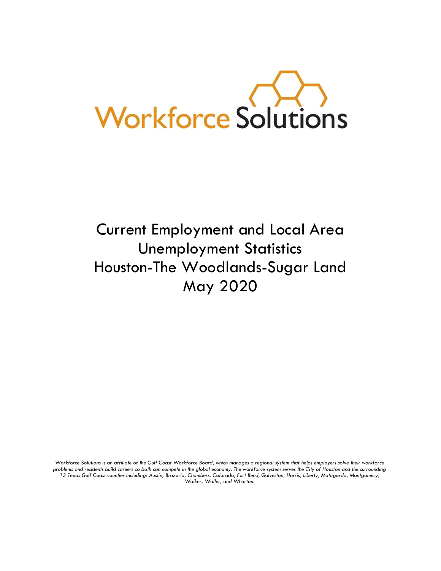

# Current Employment and Local Area Unemployment Statistics Houston-The Woodlands-Sugar Land May 2020

Workforce Solutions is an affiliate of the Gulf Coast Workforce Board, which manages a regional system that helps employers solve their workforce *problems and residents build careers so both can compete in the global economy. The workforce system serves the City of Houston and the surrounding 13 Texas Gulf Coast counties including: Austin, Brazoria, Chambers, Colorado, Fort Bend, Galveston, Harris, Liberty, Matagorda, Montgomery, Walker, Waller, and Wharton.*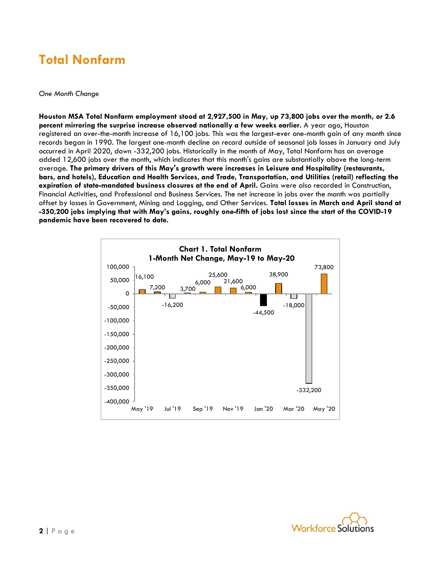### **Total Nonfarm**

#### *One Month Change*

**Houston MSA Total Nonfarm employment stood at 2,927,500 in May, up 73,800 jobs over the month, or 2.6 percent mirroring the surprise increase observed nationally a few weeks earlier.** A year ago, Houston registered an over-the-month increase of 16,100 jobs. This was the largest-ever one-month gain of any month since records began in 1990. The largest one-month decline on record outside of seasonal job losses in January and July occurred in April 2020, down -332,200 jobs. Historically in the month of May, Total Nonfarm has on average added 12,600 jobs over the month, which indicates that this month's gains are substantially above the long-term average. **The primary drivers of this May's growth were increases in Leisure and Hospitality (restaurants, bars, and hotels), Education and Health Services, and Trade, Transportation, and Utilities (retail) reflecting the expiration of state-mandated business closures at the end of April.** Gains were also recorded in Construction, Financial Activities, and Professional and Business Services. The net increase in jobs over the month was partially offset by losses in Government, Mining and Logging, and Other Services. **Total losses in March and April stand at -350,200 jobs implying that with May's gains, roughly one-fifth of jobs lost since the start of the COVID-19 pandemic have been recovered to date.**



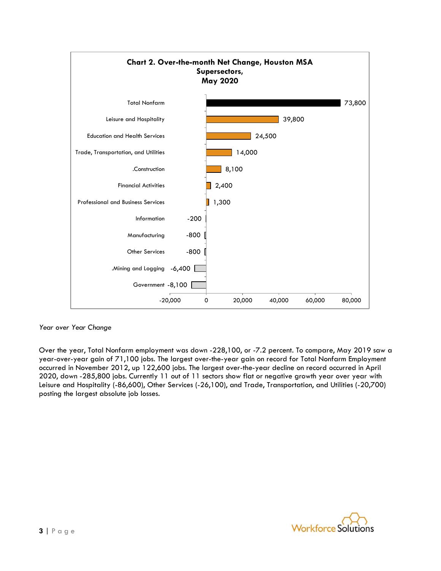

*Year over Year Change*

Over the year, Total Nonfarm employment was down -228,100, or -7.2 percent. To compare, May 2019 saw a year-over-year gain of 71,100 jobs. The largest over-the-year gain on record for Total Nonfarm Employment occurred in November 2012, up 122,600 jobs. The largest over-the-year decline on record occurred in April 2020, down -285,800 jobs. Currently 11 out of 11 sectors show flat or negative growth year over year with Leisure and Hospitality (-86,600), Other Services (-26,100), and Trade, Transportation, and Utilities (-20,700) posting the largest absolute job losses.

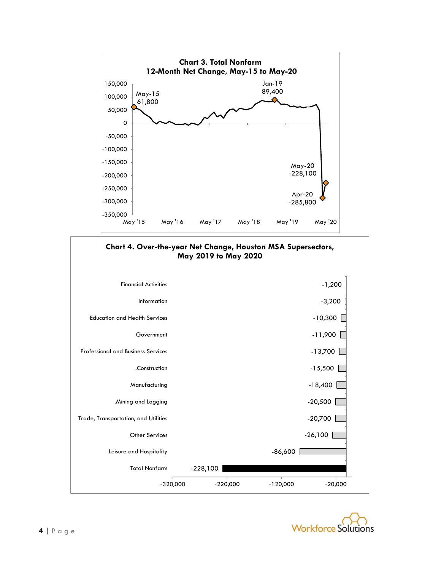



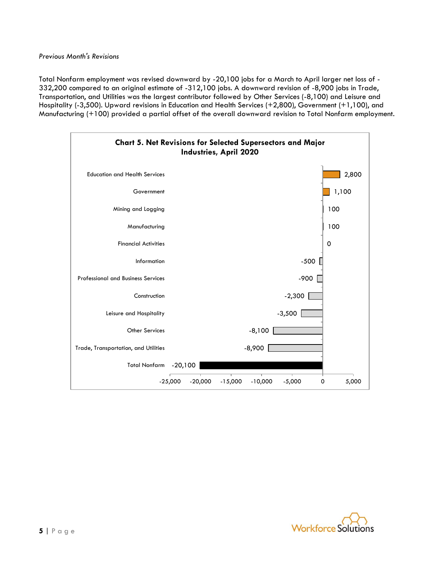Total Nonfarm employment was revised downward by -20,100 jobs for a March to April larger net loss of - 332,200 compared to an original estimate of -312,100 jobs. A downward revision of -8,900 jobs in Trade, Transportation, and Utilities was the largest contributor followed by Other Services (-8,100) and Leisure and Hospitality (-3,500). Upward revisions in Education and Health Services (+2,800), Government (+1,100), and Manufacturing (+100) provided a partial offset of the overall downward revision to Total Nonfarm employment.



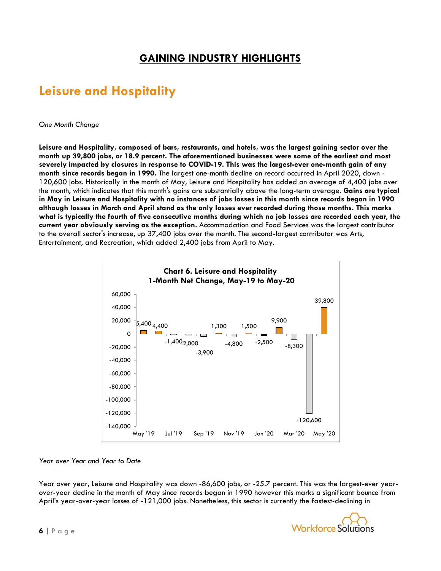### **GAINING INDUSTRY HIGHLIGHTS**

## **Leisure and Hospitality**

*One Month Change*

**Leisure and Hospitality, composed of bars, restaurants, and hotels, was the largest gaining sector over the month up 39,800 jobs, or 18.9 percent. The aforementioned businesses were some of the earliest and most severely impacted by closures in response to COVID-19. This was the largest-ever one-month gain of any month since records began in 1990.** The largest one-month decline on record occurred in April 2020, down - 120,600 jobs. Historically in the month of May, Leisure and Hospitality has added an average of 4,400 jobs over the month, which indicates that this month's gains are substantially above the long-term average. **Gains are typical in May in Leisure and Hospitality with no instances of jobs losses in this month since records began in 1990 although losses in March and April stand as the only losses ever recorded during those months. This marks what is typically the fourth of five consecutive months during which no job losses are recorded each year, the current year obviously serving as the exception.** Accommodation and Food Services was the largest contributor to the overall sector's increase, up 37,400 jobs over the month. The second-largest contributor was Arts, Entertainment, and Recreation, which added 2,400 jobs from April to May.



#### *Year over Year and Year to Date*

Year over year, Leisure and Hospitality was down -86,600 jobs, or -25.7 percent. This was the largest-ever yearover-year decline in the month of May since records began in 1990 however this marks a significant bounce from April's year-over-year losses of -121,000 jobs. Nonetheless, this sector is currently the fastest-declining in

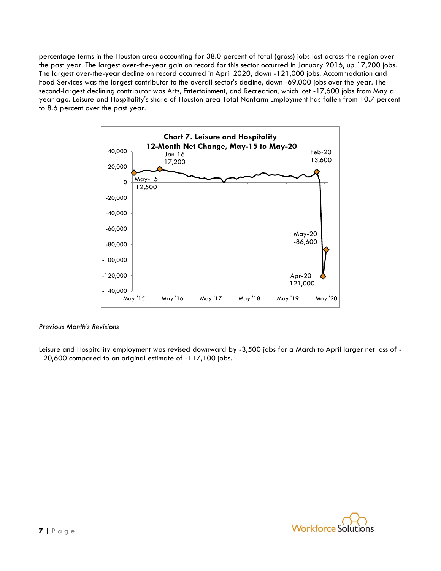percentage terms in the Houston area accounting for 38.0 percent of total (gross) jobs lost across the region over the past year. The largest over-the-year gain on record for this sector occurred in January 2016, up 17,200 jobs. The largest over-the-year decline on record occurred in April 2020, down -121,000 jobs. Accommodation and Food Services was the largest contributor to the overall sector's decline, down -69,000 jobs over the year. The second-largest declining contributor was Arts, Entertainment, and Recreation, which lost -17,600 jobs from May a year ago. Leisure and Hospitality's share of Houston area Total Nonfarm Employment has fallen from 10.7 percent to 8.6 percent over the past year.



#### *Previous Month's Revisions*

Leisure and Hospitality employment was revised downward by -3,500 jobs for a March to April larger net loss of - 120,600 compared to an original estimate of -117,100 jobs.

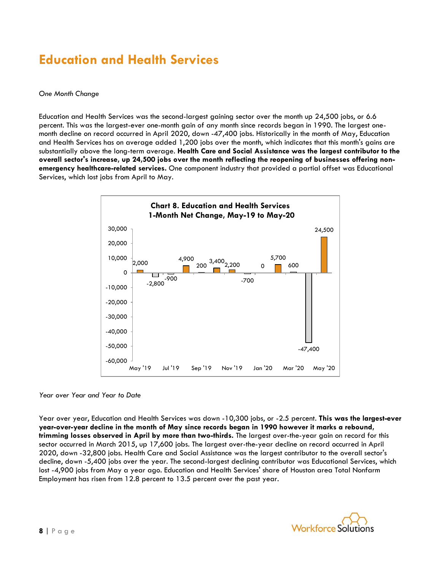### **Education and Health Services**

#### *One Month Change*

Education and Health Services was the second-largest gaining sector over the month up 24,500 jobs, or 6.6 percent. This was the largest-ever one-month gain of any month since records began in 1990. The largest onemonth decline on record occurred in April 2020, down -47,400 jobs. Historically in the month of May, Education and Health Services has on average added 1,200 jobs over the month, which indicates that this month's gains are substantially above the long-term average. **Health Care and Social Assistance was the largest contributor to the overall sector's increase, up 24,500 jobs over the month reflecting the reopening of businesses offering nonemergency healthcare-related services.** One component industry that provided a partial offset was Educational Services, which lost jobs from April to May.



*Year over Year and Year to Date*

Year over year, Education and Health Services was down -10,300 jobs, or -2.5 percent. **This was the largest-ever year-over-year decline in the month of May since records began in 1990 however it marks a rebound, trimming losses observed in April by more than two-thirds.** The largest over-the-year gain on record for this sector occurred in March 2015, up 17,600 jobs. The largest over-the-year decline on record occurred in April 2020, down -32,800 jobs. Health Care and Social Assistance was the largest contributor to the overall sector's decline, down -5,400 jobs over the year. The second-largest declining contributor was Educational Services, which lost -4,900 jobs from May a year ago. Education and Health Services' share of Houston area Total Nonfarm Employment has risen from 12.8 percent to 13.5 percent over the past year.

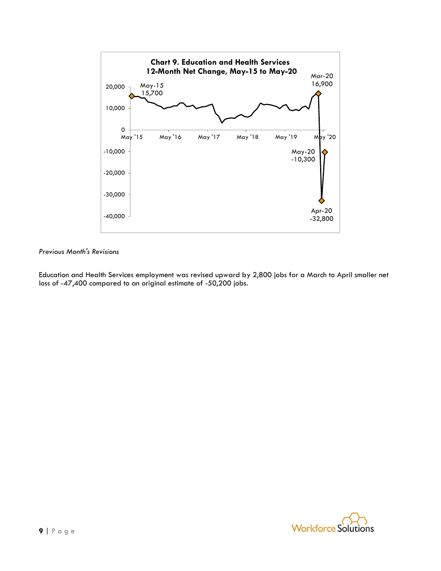

Education and Health Services employment was revised upward by 2,800 jobs for a March to April smaller net loss of -47,400 compared to an original estimate of -50,200 jobs.

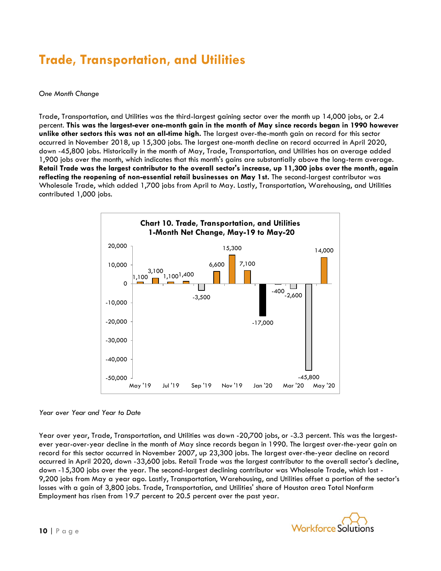## **Trade, Transportation, and Utilities**

#### *One Month Change*

Trade, Transportation, and Utilities was the third-largest gaining sector over the month up 14,000 jobs, or 2.4 percent. **This was the largest-ever one-month gain in the month of May since records began in 1990 however unlike other sectors this was not an all-time high.** The largest over-the-month gain on record for this sector occurred in November 2018, up 15,300 jobs. The largest one-month decline on record occurred in April 2020, down -45,800 jobs. Historically in the month of May, Trade, Transportation, and Utilities has on average added 1,900 jobs over the month, which indicates that this month's gains are substantially above the long-term average. **Retail Trade was the largest contributor to the overall sector's increase, up 11,300 jobs over the month, again reflecting the reopening of non-essential retail businesses on May 1st.** The second-largest contributor was Wholesale Trade, which added 1,700 jobs from April to May. Lastly, Transportation, Warehousing, and Utilities contributed 1,000 jobs.



#### *Year over Year and Year to Date*

Year over year, Trade, Transportation, and Utilities was down -20,700 jobs, or -3.3 percent. This was the largestever year-over-year decline in the month of May since records began in 1990. The largest over-the-year gain on record for this sector occurred in November 2007, up 23,300 jobs. The largest over-the-year decline on record occurred in April 2020, down -33,600 jobs. Retail Trade was the largest contributor to the overall sector's decline, down -15,300 jobs over the year. The second-largest declining contributor was Wholesale Trade, which lost - 9,200 jobs from May a year ago. Lastly, Transportation, Warehousing, and Utilities offset a portion of the sector's losses with a gain of 3,800 jobs. Trade, Transportation, and Utilities' share of Houston area Total Nonfarm Employment has risen from 19.7 percent to 20.5 percent over the past year.

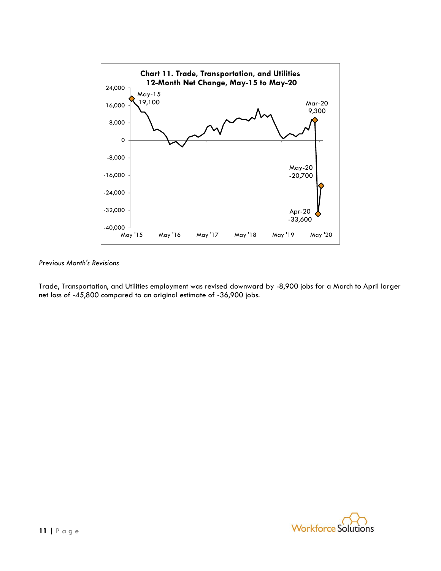

Trade, Transportation, and Utilities employment was revised downward by -8,900 jobs for a March to April larger net loss of -45,800 compared to an original estimate of -36,900 jobs.

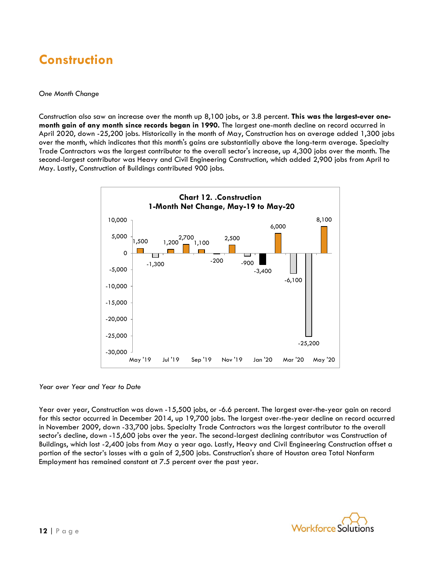### **Construction**

#### *One Month Change*

Construction also saw an increase over the month up 8,100 jobs, or 3.8 percent. **This was the largest-ever onemonth gain of any month since records began in 1990.** The largest one-month decline on record occurred in April 2020, down -25,200 jobs. Historically in the month of May, Construction has on average added 1,300 jobs over the month, which indicates that this month's gains are substantially above the long-term average. Specialty Trade Contractors was the largest contributor to the overall sector's increase, up 4,300 jobs over the month. The second-largest contributor was Heavy and Civil Engineering Construction, which added 2,900 jobs from April to May. Lastly, Construction of Buildings contributed 900 jobs.



*Year over Year and Year to Date*

Year over year, Construction was down -15,500 jobs, or -6.6 percent. The largest over-the-year gain on record for this sector occurred in December 2014, up 19,700 jobs. The largest over-the-year decline on record occurred in November 2009, down -33,700 jobs. Specialty Trade Contractors was the largest contributor to the overall sector's decline, down -15,600 jobs over the year. The second-largest declining contributor was Construction of Buildings, which lost -2,400 jobs from May a year ago. Lastly, Heavy and Civil Engineering Construction offset a portion of the sector's losses with a gain of 2,500 jobs. Construction's share of Houston area Total Nonfarm Employment has remained constant at 7.5 percent over the past year.

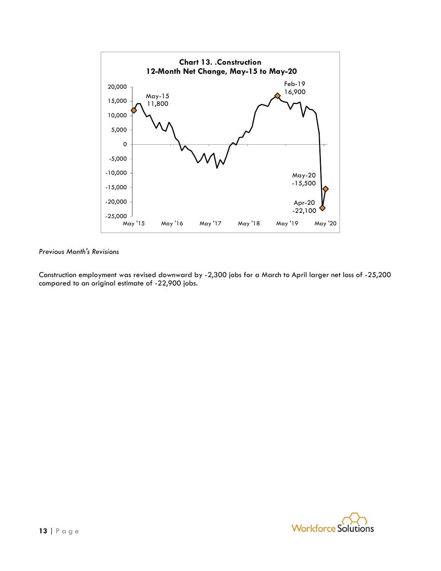

Construction employment was revised downward by -2,300 jobs for a March to April larger net loss of -25,200 compared to an original estimate of -22,900 jobs.

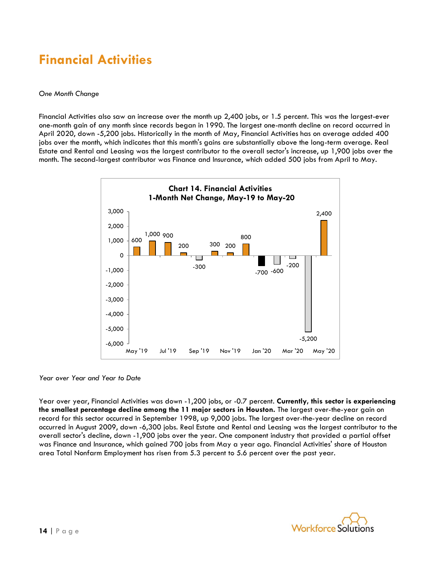### **Financial Activities**

#### *One Month Change*

Financial Activities also saw an increase over the month up 2,400 jobs, or 1.5 percent. This was the largest-ever one-month gain of any month since records began in 1990. The largest one-month decline on record occurred in April 2020, down -5,200 jobs. Historically in the month of May, Financial Activities has on average added 400 jobs over the month, which indicates that this month's gains are substantially above the long-term average. Real Estate and Rental and Leasing was the largest contributor to the overall sector's increase, up 1,900 jobs over the month. The second-largest contributor was Finance and Insurance, which added 500 jobs from April to May.



#### *Year over Year and Year to Date*

Year over year, Financial Activities was down -1,200 jobs, or -0.7 percent. **Currently, this sector is experiencing the smallest percentage decline among the 11 major sectors in Houston.** The largest over-the-year gain on record for this sector occurred in September 1998, up 9,000 jobs. The largest over-the-year decline on record occurred in August 2009, down -6,300 jobs. Real Estate and Rental and Leasing was the largest contributor to the overall sector's decline, down -1,900 jobs over the year. One component industry that provided a partial offset was Finance and Insurance, which gained 700 jobs from May a year ago. Financial Activities' share of Houston area Total Nonfarm Employment has risen from 5.3 percent to 5.6 percent over the past year.

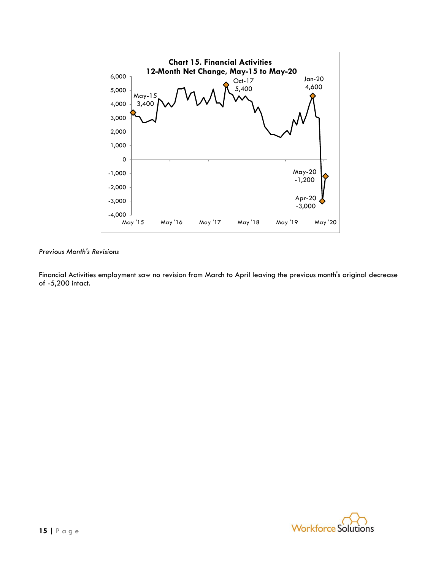

Financial Activities employment saw no revision from March to April leaving the previous month's original decrease of -5,200 intact.

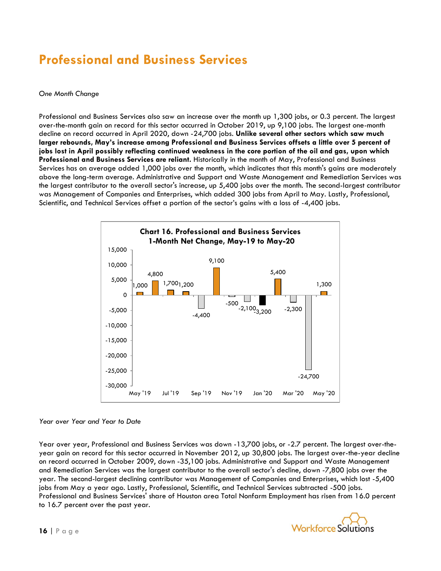### **Professional and Business Services**

#### *One Month Change*

Professional and Business Services also saw an increase over the month up 1,300 jobs, or 0.3 percent. The largest over-the-month gain on record for this sector occurred in October 2019, up 9,100 jobs. The largest one-month decline on record occurred in April 2020, down -24,700 jobs. **Unlike several other sectors which saw much larger rebounds, May's increase among Professional and Business Services offsets a little over 5 percent of jobs lost in April possibly reflecting continued weakness in the core portion of the oil and gas, upon which Professional and Business Services are reliant.** Historically in the month of May, Professional and Business Services has on average added 1,000 jobs over the month, which indicates that this month's gains are moderately above the long-term average. Administrative and Support and Waste Management and Remediation Services was the largest contributor to the overall sector's increase, up 5,400 jobs over the month. The second-largest contributor was Management of Companies and Enterprises, which added 300 jobs from April to May. Lastly, Professional, Scientific, and Technical Services offset a portion of the sector's gains with a loss of -4,400 jobs.



#### *Year over Year and Year to Date*

Year over year, Professional and Business Services was down -13,700 jobs, or -2.7 percent. The largest over-theyear gain on record for this sector occurred in November 2012, up 30,800 jobs. The largest over-the-year decline on record occurred in October 2009, down -35,100 jobs. Administrative and Support and Waste Management and Remediation Services was the largest contributor to the overall sector's decline, down -7,800 jobs over the year. The second-largest declining contributor was Management of Companies and Enterprises, which lost -5,400 jobs from May a year ago. Lastly, Professional, Scientific, and Technical Services subtracted -500 jobs. Professional and Business Services' share of Houston area Total Nonfarm Employment has risen from 16.0 percent to 16.7 percent over the past year.

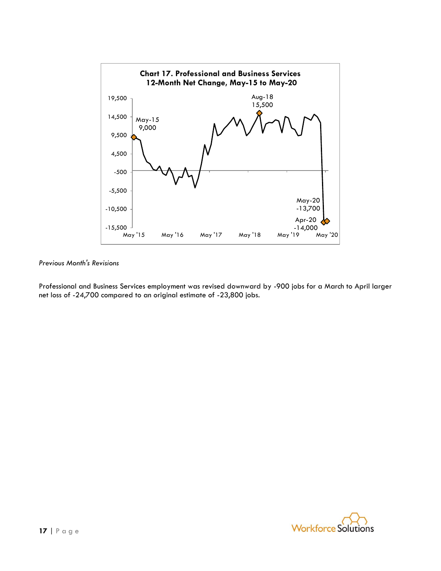

Professional and Business Services employment was revised downward by -900 jobs for a March to April larger net loss of -24,700 compared to an original estimate of -23,800 jobs.

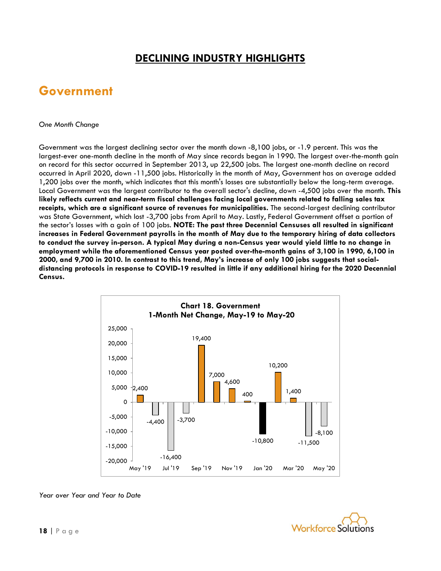### **DECLINING INDUSTRY HIGHLIGHTS**

### **Government**

#### *One Month Change*

Government was the largest declining sector over the month down -8,100 jobs, or -1.9 percent. This was the largest-ever one-month decline in the month of May since records began in 1990. The largest over-the-month gain on record for this sector occurred in September 2013, up 22,500 jobs. The largest one-month decline on record occurred in April 2020, down -11,500 jobs. Historically in the month of May, Government has on average added 1,200 jobs over the month, which indicates that this month's losses are substantially below the long-term average. Local Government was the largest contributor to the overall sector's decline, down -4,500 jobs over the month. **This likely reflects current and near-term fiscal challenges facing local governments related to falling sales tax receipts, which are a significant source of revenues for municipalities.** The second-largest declining contributor was State Government, which lost -3,700 jobs from April to May. Lastly, Federal Government offset a portion of the sector's losses with a gain of 100 jobs. **NOTE: The past three Decennial Censuses all resulted in significant increases in Federal Government payrolls in the month of May due to the temporary hiring of data collectors to conduct the survey in-person. A typical May during a non-Census year would yield little to no change in employment while the aforementioned Census year posted over-the-month gains of 3,100 in 1990, 6,100 in 2000, and 9,700 in 2010. In contrast to this trend, May's increase of only 100 jobs suggests that socialdistancing protocols in response to COVID-19 resulted in little if any additional hiring for the 2020 Decennial Census.**



*Year over Year and Year to Date*

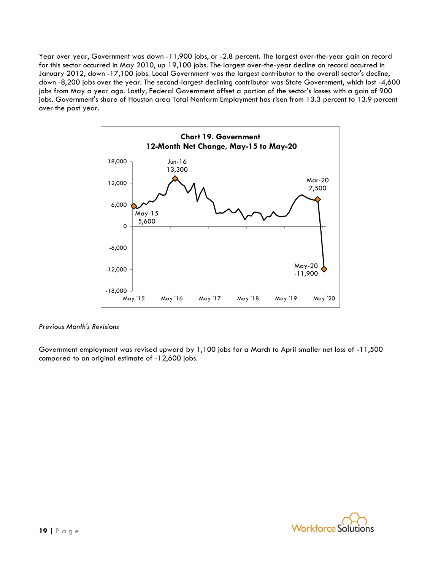Year over year, Government was down -11,900 jobs, or -2.8 percent. The largest over-the-year gain on record for this sector occurred in May 2010, up 19,100 jobs. The largest over-the-year decline on record occurred in January 2012, down -17,100 jobs. Local Government was the largest contributor to the overall sector's decline, down -8,200 jobs over the year. The second-largest declining contributor was State Government, which lost -4,600 jobs from May a year ago. Lastly, Federal Government offset a portion of the sector's losses with a gain of 900 jobs. Government's share of Houston area Total Nonfarm Employment has risen from 13.3 percent to 13.9 percent over the past year.



#### *Previous Month's Revisions*

Government employment was revised upward by 1,100 jobs for a March to April smaller net loss of -11,500 compared to an original estimate of -12,600 jobs.

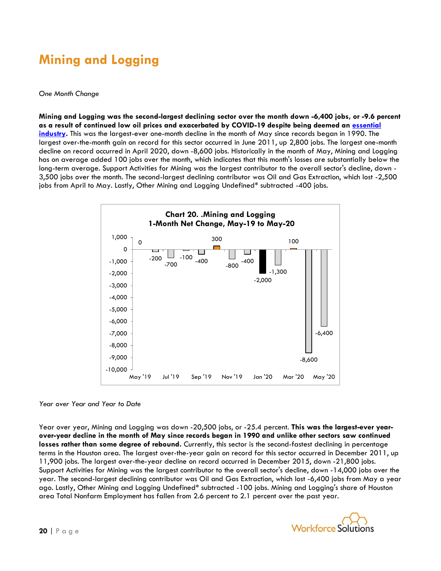## **Mining and Logging**

#### *One Month Change*

**Mining and Logging was the second-largest declining sector over the month down -6,400 jobs, or -9.6 percent as a result of continued low oil prices and exacerbated by COVID-19 despite being deemed an [essential](https://www.click2houston.com/news/local/2020/03/24/these-are-the-16-essential-business-sectors-that-will-remain-open-during-the-stay-home-work-safe-order/)  [industry.](https://www.click2houston.com/news/local/2020/03/24/these-are-the-16-essential-business-sectors-that-will-remain-open-during-the-stay-home-work-safe-order/)** This was the largest-ever one-month decline in the month of May since records began in 1990. The largest over-the-month gain on record for this sector occurred in June 2011, up 2,800 jobs. The largest one-month decline on record occurred in April 2020, down -8,600 jobs. Historically in the month of May, Mining and Logging has on average added 100 jobs over the month, which indicates that this month's losses are substantially below the long-term average. Support Activities for Mining was the largest contributor to the overall sector's decline, down - 3,500 jobs over the month. The second-largest declining contributor was Oil and Gas Extraction, which lost -2,500 jobs from April to May. Lastly, Other Mining and Logging Undefined\* subtracted -400 jobs.



#### *Year over Year and Year to Date*

Year over year, Mining and Logging was down -20,500 jobs, or -25.4 percent. **This was the largest-ever yearover-year decline in the month of May since records began in 1990 and unlike other sectors saw continued losses rather than some degree of rebound.** Currently, this sector is the second-fastest declining in percentage terms in the Houston area. The largest over-the-year gain on record for this sector occurred in December 2011, up 11,900 jobs. The largest over-the-year decline on record occurred in December 2015, down -21,800 jobs. Support Activities for Mining was the largest contributor to the overall sector's decline, down -14,000 jobs over the year. The second-largest declining contributor was Oil and Gas Extraction, which lost -6,400 jobs from May a year ago. Lastly, Other Mining and Logging Undefined\* subtracted -100 jobs. Mining and Logging's share of Houston area Total Nonfarm Employment has fallen from 2.6 percent to 2.1 percent over the past year.

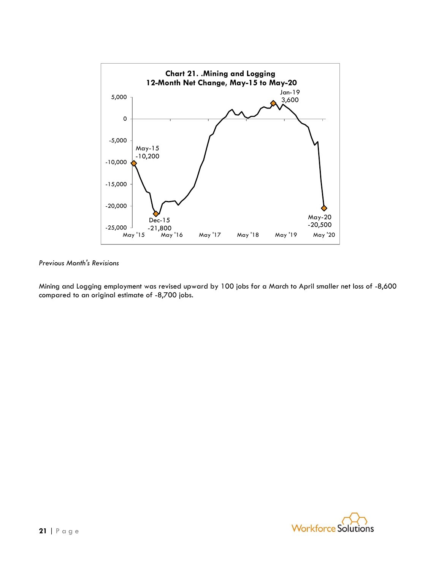

Mining and Logging employment was revised upward by 100 jobs for a March to April smaller net loss of -8,600 compared to an original estimate of -8,700 jobs.

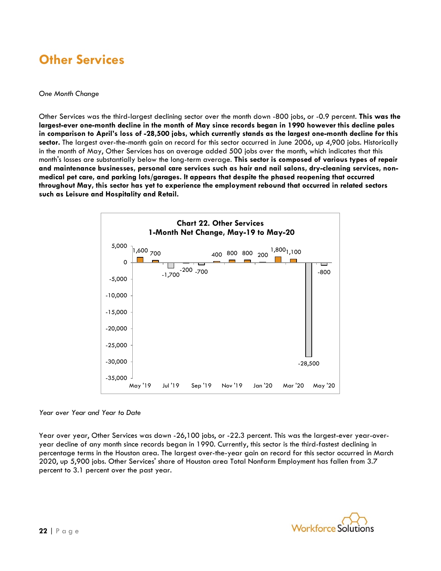### **Other Services**

#### *One Month Change*

Other Services was the third-largest declining sector over the month down -800 jobs, or -0.9 percent. **This was the largest-ever one-month decline in the month of May since records began in 1990 however this decline pales in comparison to April's loss of -28,500 jobs, which currently stands as the largest one-month decline for this sector.** The largest over-the-month gain on record for this sector occurred in June 2006, up 4,900 jobs. Historically in the month of May, Other Services has on average added 500 jobs over the month, which indicates that this month's losses are substantially below the long-term average. **This sector is composed of various types of repair and maintenance businesses, personal care services such as hair and nail salons, dry-cleaning services, nonmedical pet care, and parking lots/garages. It appears that despite the phased reopening that occurred throughout May, this sector has yet to experience the employment rebound that occurred in related sectors such as Leisure and Hospitality and Retail.**



#### *Year over Year and Year to Date*

Year over year, Other Services was down -26,100 jobs, or -22.3 percent. This was the largest-ever year-overyear decline of any month since records began in 1990. Currently, this sector is the third-fastest declining in percentage terms in the Houston area. The largest over-the-year gain on record for this sector occurred in March 2020, up 5,900 jobs. Other Services' share of Houston area Total Nonfarm Employment has fallen from 3.7 percent to 3.1 percent over the past year.

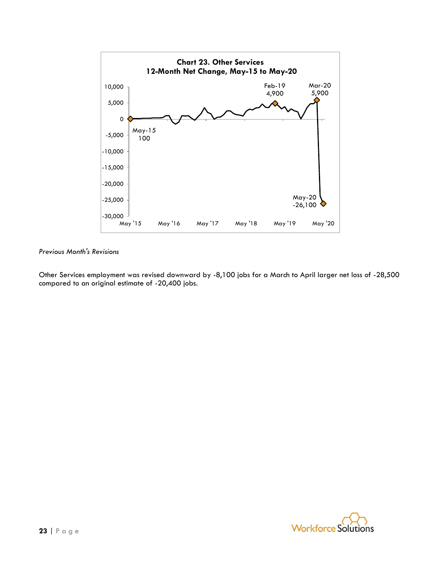

Other Services employment was revised downward by -8,100 jobs for a March to April larger net loss of -28,500 compared to an original estimate of -20,400 jobs.

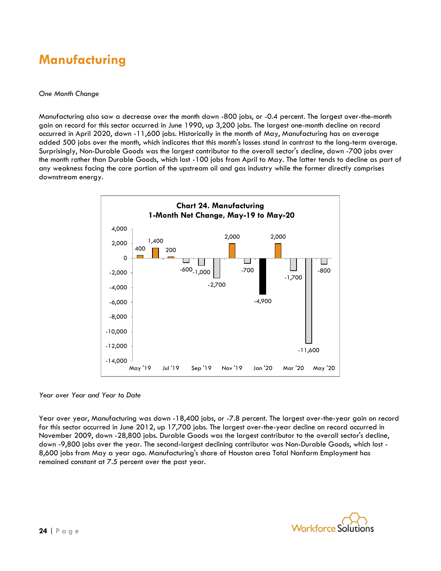### **Manufacturing**

#### *One Month Change*

Manufacturing also saw a decrease over the month down -800 jobs, or -0.4 percent. The largest over-the-month gain on record for this sector occurred in June 1990, up 3,200 jobs. The largest one-month decline on record occurred in April 2020, down -11,600 jobs. Historically in the month of May, Manufacturing has on average added 500 jobs over the month, which indicates that this month's losses stand in contrast to the long-term average. Surprisingly, Non-Durable Goods was the largest contributor to the overall sector's decline, down -700 jobs over the month rather than Durable Goods, which lost -100 jobs from April to May. The latter tends to decline as part of any weakness facing the core portion of the upstream oil and gas industry while the former directly comprises downstream energy.



*Year over Year and Year to Date*

Year over year, Manufacturing was down -18,400 jobs, or -7.8 percent. The largest over-the-year gain on record for this sector occurred in June 2012, up 17,700 jobs. The largest over-the-year decline on record occurred in November 2009, down -28,800 jobs. Durable Goods was the largest contributor to the overall sector's decline, down -9,800 jobs over the year. The second-largest declining contributor was Non-Durable Goods, which lost - 8,600 jobs from May a year ago. Manufacturing's share of Houston area Total Nonfarm Employment has remained constant at 7.5 percent over the past year.

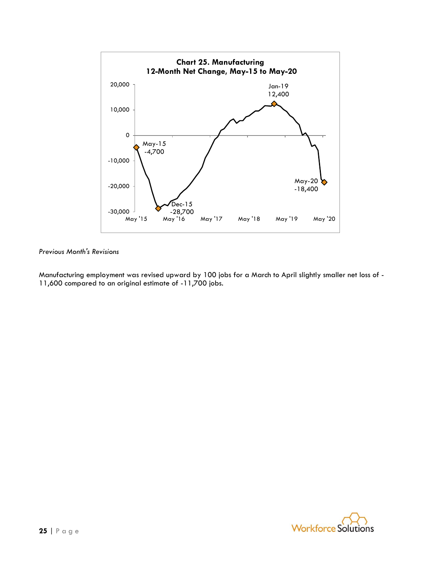

Manufacturing employment was revised upward by 100 jobs for a March to April slightly smaller net loss of - 11,600 compared to an original estimate of -11,700 jobs.

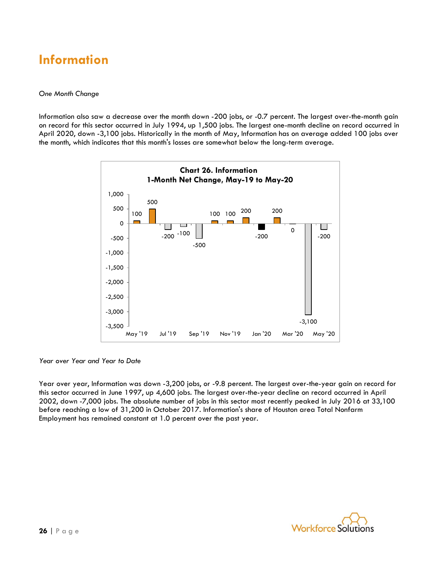### **Information**

#### *One Month Change*

Information also saw a decrease over the month down -200 jobs, or -0.7 percent. The largest over-the-month gain on record for this sector occurred in July 1994, up 1,500 jobs. The largest one-month decline on record occurred in April 2020, down -3,100 jobs. Historically in the month of May, Information has on average added 100 jobs over the month, which indicates that this month's losses are somewhat below the long-term average.



*Year over Year and Year to Date*

Year over year, Information was down -3,200 jobs, or -9.8 percent. The largest over-the-year gain on record for this sector occurred in June 1997, up 4,600 jobs. The largest over-the-year decline on record occurred in April 2002, down -7,000 jobs. The absolute number of jobs in this sector most recently peaked in July 2016 at 33,100 before reaching a low of 31,200 in October 2017. Information's share of Houston area Total Nonfarm Employment has remained constant at 1.0 percent over the past year.

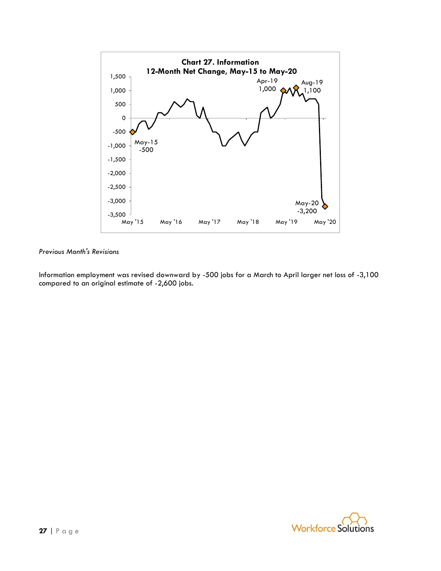

Information employment was revised downward by -500 jobs for a March to April larger net loss of -3,100 compared to an original estimate of -2,600 jobs.

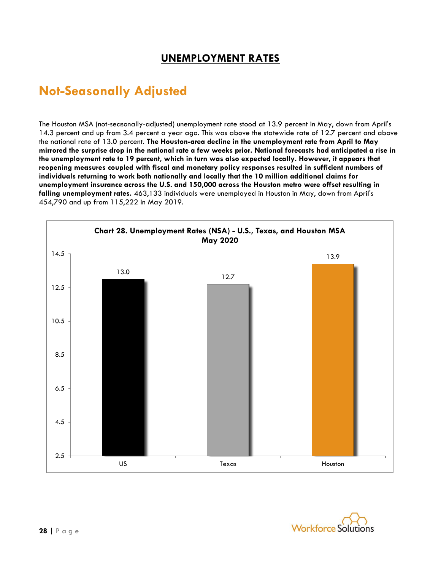### **UNEMPLOYMENT RATES**

### **Not-Seasonally Adjusted**

The Houston MSA (not-seasonally-adjusted) unemployment rate stood at 13.9 percent in May, down from April's 14.3 percent and up from 3.4 percent a year ago. This was above the statewide rate of 12.7 percent and above the national rate of 13.0 percent. **The Houston-area decline in the unemployment rate from April to May mirrored the surprise drop in the national rate a few weeks prior. National forecasts had anticipated a rise in the unemployment rate to 19 percent, which in turn was also expected locally. However, it appears that reopening measures coupled with fiscal and monetary policy responses resulted in sufficient numbers of individuals returning to work both nationally and locally that the 10 million additional claims for unemployment insurance across the U.S. and 150,000 across the Houston metro were offset resulting in falling unemployment rates.** 463,133 individuals were unemployed in Houston in May, down from April's 454,790 and up from 115,222 in May 2019.



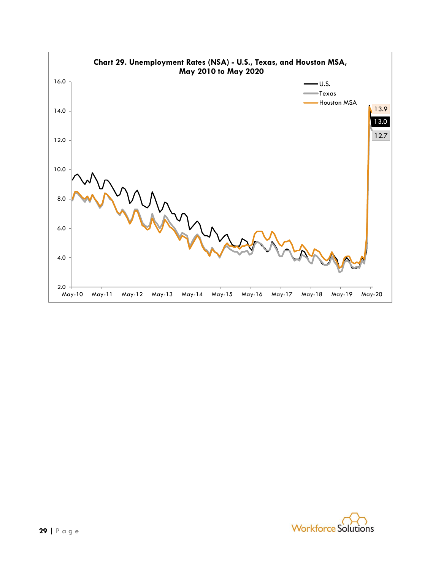

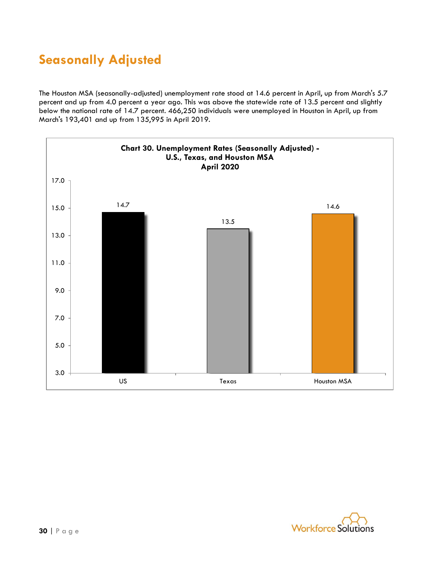## **Seasonally Adjusted**

The Houston MSA (seasonally-adjusted) unemployment rate stood at 14.6 percent in April, up from March's 5.7 percent and up from 4.0 percent a year ago. This was above the statewide rate of 13.5 percent and slightly below the national rate of 14.7 percent. 466,250 individuals were unemployed in Houston in April, up from March's 193,401 and up from 135,995 in April 2019.



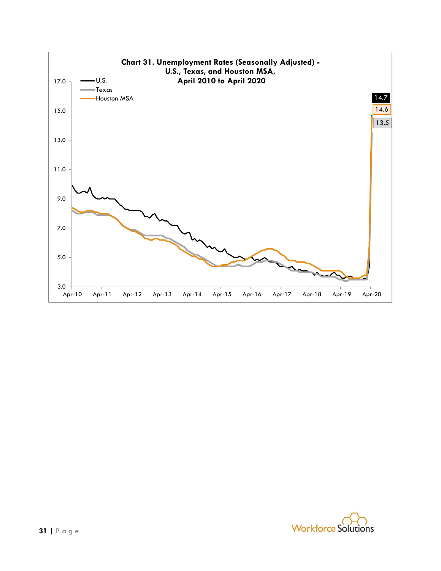

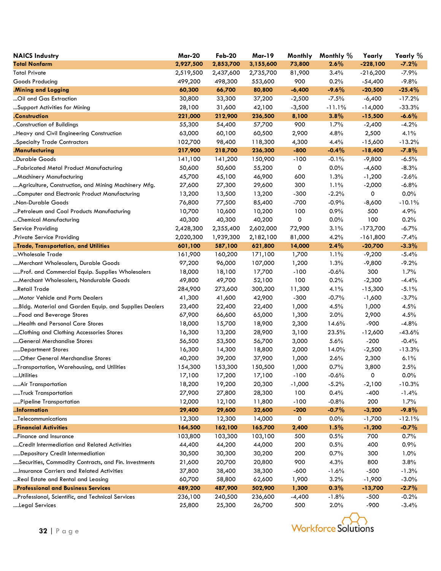| <b>NAICS Industry</b>                                 | <b>Mar-20</b> | <b>Feb-20</b> | <b>Mar-19</b> | Monthly  | Monthly % | Yearly     | Yearly % |
|-------------------------------------------------------|---------------|---------------|---------------|----------|-----------|------------|----------|
| <b>Total Nonfarm</b>                                  | 2,927,500     | 2,853,700     | 3,155,600     | 73,800   | 2.6%      | $-228,100$ | $-7.2%$  |
| <b>Total Private</b>                                  | 2,519,500     | 2,437,600     | 2,735,700     | 81,900   | 3.4%      | $-216,200$ | $-7.9%$  |
| Goods Producing                                       | 499,200       | 498,300       | 553,600       | 900      | 0.2%      | $-54,400$  | $-9.8%$  |
| .Mining and Logging                                   | 60,300        | 66,700        | 80,800        | $-6,400$ | $-9.6%$   | $-20,500$  | $-25.4%$ |
| Oil and Gas Extraction                                | 30,800        | 33,300        | 37,200        | $-2,500$ | $-7.5%$   | $-6,400$   | $-17.2%$ |
| Support Activities for Mining                         | 28,100        | 31,600        | 42,100        | $-3,500$ | $-11.1%$  | $-14,000$  | $-33.3%$ |
| .Construction                                         | 221,000       | 212,900       | 236,500       | 8,100    | 3.8%      | $-15,500$  | $-6.6%$  |
| Construction of Buildings                             | 55,300        | 54,400        | 57,700        | 900      | 1.7%      | $-2,400$   | $-4.2%$  |
| Heavy and Civil Engineering Construction              | 63,000        | 60,100        | 60,500        | 2,900    | 4.8%      | 2,500      | 4.1%     |
| Specialty Trade Contractors                           | 102,700       | 98,400        | 118,300       | 4,300    | 4.4%      | $-15,600$  | $-13.2%$ |
| .Manufacturing                                        | 217,900       | 218,700       | 236,300       | $-800$   | $-0.4%$   | $-18,400$  | $-7.8%$  |
| Durable Goods                                         | 141,100       | 141,200       | 150,900       | $-100$   | $-0.1%$   | $-9,800$   | $-6.5%$  |
| Fabricated Metal Product Manufacturing                | 50,600        | 50,600        | 55,200        | 0        | $0.0\%$   | $-4,600$   | $-8.3%$  |
| Machinery Manufacturing                               | 45,700        | 45,100        | 46,900        | 600      | 1.3%      | $-1,200$   | $-2.6%$  |
| Agriculture, Construction, and Mining Machinery Mfg.  | 27,600        | 27,300        | 29,600        | 300      | 1.1%      | $-2,000$   | $-6.8%$  |
| Computer and Electronic Product Manufacturing         | 13,200        | 13,500        | 13,200        | $-300$   | $-2.2%$   | 0          | 0.0%     |
| "Non-Durable Goods                                    | 76,800        | 77,500        | 85,400        | $-700$   | $-0.9%$   | $-8,600$   | $-10.1%$ |
| Petroleum and Coal Products Manufacturing             | 10,700        | 10,600        | 10,200        | 100      | 0.9%      | 500        | 4.9%     |
| Chemical Manufacturing                                | 40,300        | 40,300        | 40,200        | 0        | 0.0%      | 100        | 0.2%     |
| Service Providing                                     | 2,428,300     | 2,355,400     | 2,602,000     | 72,900   | 3.1%      | -173,700   | $-6.7%$  |
| .Private Service Providing                            | 2,020,300     | 1,939,300     | 2,182,100     | 81,000   | 4.2%      | $-161,800$ | $-7.4%$  |
| Trade, Transportation, and Utilities                  | 601,100       | 587,100       | 621,800       | 14,000   | 2.4%      | $-20,700$  | $-3.3%$  |
| Wholesale Trade                                       | 161,900       | 160,200       | 171,100       | 1,700    | 1.1%      | $-9,200$   | $-5.4%$  |
| Merchant Wholesalers, Durable Goods                   | 97,200        | 96,000        | 107,000       | 1,200    | 1.3%      | $-9,800$   | $-9.2%$  |
| Prof. and Commercial Equip. Supplies Wholesalers      | 18,000        | 18,100        | 17,700        | $-100$   | $-0.6%$   | 300        | 1.7%     |
| Merchant Wholesalers, Nondurable Goods                | 49,800        | 49,700        | 52,100        | 100      | 0.2%      | $-2,300$   | $-4.4%$  |
| Retail Trade                                          | 284,900       | 273,600       | 300,200       | 11,300   | 4.1%      | $-15,300$  | $-5.1%$  |
| Motor Vehicle and Parts Dealers                       | 41,300        | 41,600        | 42,900        | $-300$   | $-0.7%$   | $-1,600$   | $-3.7%$  |
| Bldg. Material and Garden Equip. and Supplies Dealers | 23,400        | 22,400        | 22,400        | 1,000    | 4.5%      | 1,000      | 4.5%     |
| Food and Beverage Stores                              | 67,900        | 66,600        | 65,000        | 1,300    | 2.0%      | 2,900      | 4.5%     |
| Health and Personal Care Stores                       | 18,000        | 15,700        | 18,900        | 2,300    | 14.6%     | $-900$     | $-4.8%$  |
| Clothing and Clothing Accessories Stores              | 16,300        | 13,200        | 28,900        | 3,100    | 23.5%     | $-12,600$  | $-43.6%$ |
| General Merchandise Stores                            | 56,500        | 53,500        | 56,700        | 3,000    | 5.6%      | $-200$     | $-0.4%$  |
| Department Stores                                     | 16,300        | 14,300        | 18,800        | 2,000    | 14.0%     | $-2,500$   | $-13.3%$ |
| Other General Merchandise Stores                      | 40,200        | 39,200        | 37,900        | 1,000    | 2.6%      | 2,300      | 6.1%     |
| Transportation, Warehousing, and Utilities            | 154,300       | 153,300       | 150,500       | 1,000    | 0.7%      | 3,800      | 2.5%     |
| …Utilities                                            | 17,100        | 17,200        | 17,100        | $-100$   | $-0.6%$   | 0          | 0.0%     |
| Air Transportation                                    | 18,200        | 19,200        | 20,300        | $-1,000$ | $-5.2%$   | $-2,100$   | $-10.3%$ |
| Truck Transportation                                  | 27,900        | 27,800        | 28,300        | 100      | 0.4%      | $-400$     | $-1.4%$  |
| Pipeline Transportation                               | 12,000        | 12,100        | 11,800        | $-100$   | $-0.8%$   | 200        | 1.7%     |
| Information                                           | 29,400        | 29,600        | 32,600        | $-200$   | $-0.7%$   | $-3,200$   | $-9.8%$  |
| Telecommunications                                    | 12,300        | 12,300        | 14,000        | 0        | 0.0%      | $-1,700$   | $-12.1%$ |
| Financial Activities                                  | 164,500       | 162,100       | 165,700       | 2,400    | 1.5%      | $-1,200$   | $-0.7%$  |
| Finance and Insurance                                 | 103,800       | 103,300       | 103,100       | 500      | 0.5%      | 700        | 0.7%     |
| Credit Intermediation and Related Activities          | 44,400        | 44,200        | 44,000        | 200      | 0.5%      | 400        | 0.9%     |
| Depository Credit Intermediation                      | 30,500        | 30,300        | 30,200        | 200      | 0.7%      | 300        | 1.0%     |
| Securities, Commodity Contracts, and Fin. Investments | 21,600        | 20,700        | 20,800        | 900      | 4.3%      | 800        | 3.8%     |
| Insurance Carriers and Related Activities             | 37,800        | 38,400        | 38,300        | $-600$   | $-1.6%$   | $-500$     | $-1.3%$  |
| Real Estate and Rental and Leasing                    | 60,700        | 58,800        | 62,600        | 1,900    | 3.2%      | $-1,900$   | $-3.0%$  |
| Professional and Business Services                    | 489,200       | 487,900       | 502,900       | 1,300    | 0.3%      | $-13,700$  | $-2.7%$  |
| Professional, Scientific, and Technical Services      | 236,100       | 240,500       | 236,600       | $-4,400$ | $-1.8%$   | $-500$     | $-0.2%$  |
| Legal Services                                        | 25,800        | 25,300        | 26,700        | 500      | 2.0%      | $-900$     | $-3.4%$  |